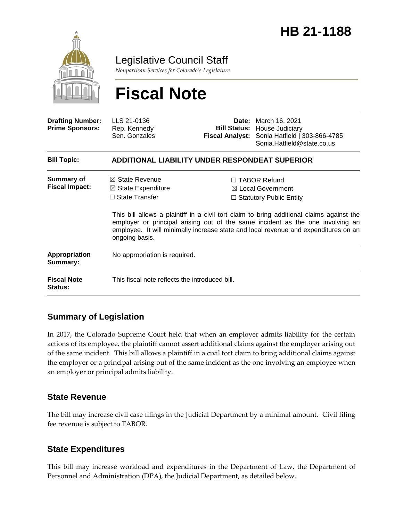

Legislative Council Staff

*Nonpartisan Services for Colorado's Legislature*

# **Fiscal Note**

| <b>Drafting Number:</b><br><b>Prime Sponsors:</b> | LLS 21-0136<br>Rep. Kennedy<br>Sen. Gonzales                                                          | Fiscal Analyst: | <b>Date:</b> March 16, 2021<br><b>Bill Status: House Judiciary</b><br>Sonia Hatfield   303-866-4785<br>Sonia.Hatfield@state.co.us                                                                                                                                                                                                                 |  |
|---------------------------------------------------|-------------------------------------------------------------------------------------------------------|-----------------|---------------------------------------------------------------------------------------------------------------------------------------------------------------------------------------------------------------------------------------------------------------------------------------------------------------------------------------------------|--|
| <b>Bill Topic:</b>                                | <b>ADDITIONAL LIABILITY UNDER RESPONDEAT SUPERIOR</b>                                                 |                 |                                                                                                                                                                                                                                                                                                                                                   |  |
| <b>Summary of</b><br><b>Fiscal Impact:</b>        | $\boxtimes$ State Revenue<br>$\boxtimes$ State Expenditure<br>$\Box$ State Transfer<br>ongoing basis. |                 | $\Box$ TABOR Refund<br>⊠ Local Government<br>$\Box$ Statutory Public Entity<br>This bill allows a plaintiff in a civil tort claim to bring additional claims against the<br>employer or principal arising out of the same incident as the one involving an<br>employee. It will minimally increase state and local revenue and expenditures on an |  |
| Appropriation<br>Summary:                         | No appropriation is required.                                                                         |                 |                                                                                                                                                                                                                                                                                                                                                   |  |
| <b>Fiscal Note</b><br><b>Status:</b>              | This fiscal note reflects the introduced bill.                                                        |                 |                                                                                                                                                                                                                                                                                                                                                   |  |

## **Summary of Legislation**

In 2017, the Colorado Supreme Court held that when an employer admits liability for the certain actions of its employee, the plaintiff cannot assert additional claims against the employer arising out of the same incident. This bill allows a plaintiff in a civil tort claim to bring additional claims against the employer or a principal arising out of the same incident as the one involving an employee when an employer or principal admits liability.

#### **State Revenue**

The bill may increase civil case filings in the Judicial Department by a minimal amount. Civil filing fee revenue is subject to TABOR.

## **State Expenditures**

This bill may increase workload and expenditures in the Department of Law, the Department of Personnel and Administration (DPA), the Judicial Department, as detailed below.